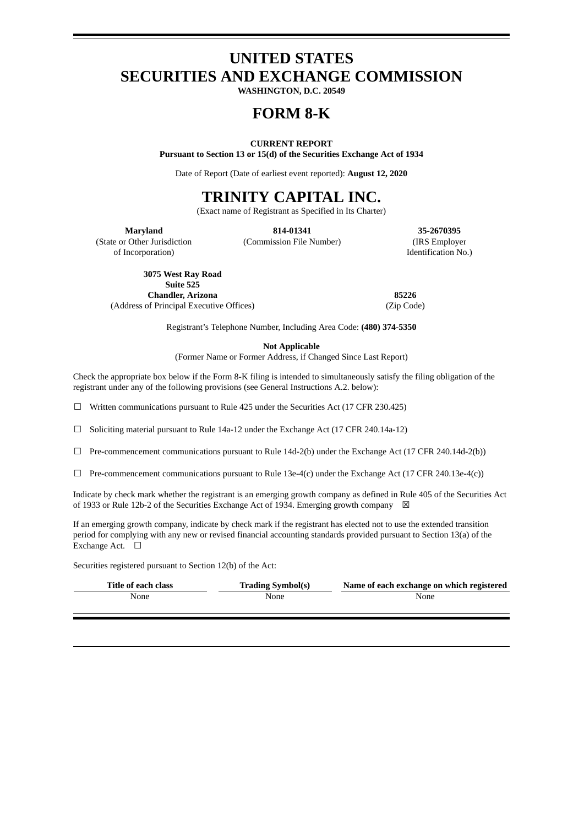# **UNITED STATES SECURITIES AND EXCHANGE COMMISSION**

**WASHINGTON, D.C. 20549**

## **FORM 8-K**

#### **CURRENT REPORT**

**Pursuant to Section 13 or 15(d) of the Securities Exchange Act of 1934**

Date of Report (Date of earliest event reported): **August 12, 2020**

# **TRINITY CAPITAL INC.**

(Exact name of Registrant as Specified in Its Charter)

(State or Other Jurisdiction

of Incorporation)

**Maryland 814-01341 35-2670395**

(Commission File Number) (IRS Employer Identification No.)

**3075 West Ray Road Suite 525 Chandler, Arizona 85226** (Address of Principal Executive Offices) (Zip Code)

Registrant's Telephone Number, Including Area Code: **(480) 374-5350**

**Not Applicable**

(Former Name or Former Address, if Changed Since Last Report)

Check the appropriate box below if the Form 8-K filing is intended to simultaneously satisfy the filing obligation of the registrant under any of the following provisions (see General Instructions A.2. below):

 $\Box$  Written communications pursuant to Rule 425 under the Securities Act (17 CFR 230.425)

☐ Soliciting material pursuant to Rule 14a-12 under the Exchange Act (17 CFR 240.14a-12)

☐ Pre-commencement communications pursuant to Rule 14d-2(b) under the Exchange Act (17 CFR 240.14d-2(b))

☐ Pre-commencement communications pursuant to Rule 13e-4(c) under the Exchange Act (17 CFR 240.13e-4(c))

Indicate by check mark whether the registrant is an emerging growth company as defined in Rule 405 of the Securities Act of 1933 or Rule 12b-2 of the Securities Exchange Act of 1934. Emerging growth company  $\boxtimes$ 

If an emerging growth company, indicate by check mark if the registrant has elected not to use the extended transition period for complying with any new or revised financial accounting standards provided pursuant to Section 13(a) of the Exchange Act. □

Securities registered pursuant to Section 12(b) of the Act:

| Title of each class | <b>Trading Symbol(s)</b> | Name of each exchange on which registered |
|---------------------|--------------------------|-------------------------------------------|
| None                | None                     | None                                      |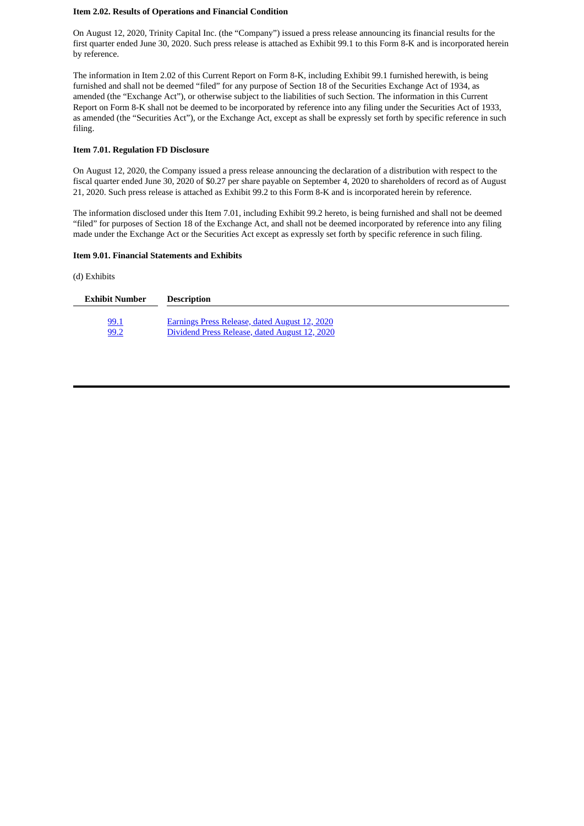#### **Item 2.02. Results of Operations and Financial Condition**

On August 12, 2020, Trinity Capital Inc. (the "Company") issued a press release announcing its financial results for the first quarter ended June 30, 2020. Such press release is attached as Exhibit 99.1 to this Form 8-K and is incorporated herein by reference.

The information in Item 2.02 of this Current Report on Form 8-K, including Exhibit 99.1 furnished herewith, is being furnished and shall not be deemed "filed" for any purpose of Section 18 of the Securities Exchange Act of 1934, as amended (the "Exchange Act"), or otherwise subject to the liabilities of such Section. The information in this Current Report on Form 8-K shall not be deemed to be incorporated by reference into any filing under the Securities Act of 1933, as amended (the "Securities Act"), or the Exchange Act, except as shall be expressly set forth by specific reference in such filing.

#### **Item 7.01. Regulation FD Disclosure**

On August 12, 2020, the Company issued a press release announcing the declaration of a distribution with respect to the fiscal quarter ended June 30, 2020 of \$0.27 per share payable on September 4, 2020 to shareholders of record as of August 21, 2020. Such press release is attached as Exhibit 99.2 to this Form 8-K and is incorporated herein by reference.

The information disclosed under this Item 7.01, including Exhibit 99.2 hereto, is being furnished and shall not be deemed "filed" for purposes of Section 18 of the Exchange Act, and shall not be deemed incorporated by reference into any filing made under the Exchange Act or the Securities Act except as expressly set forth by specific reference in such filing.

#### **Item 9.01. Financial Statements and Exhibits**

(d) Exhibits

| Exhibit Number | <b>Description</b>                                   |
|----------------|------------------------------------------------------|
| 99.1           | <b>Earnings Press Release, dated August 12, 2020</b> |
| 99.2           | Dividend Press Release, dated August 12, 2020        |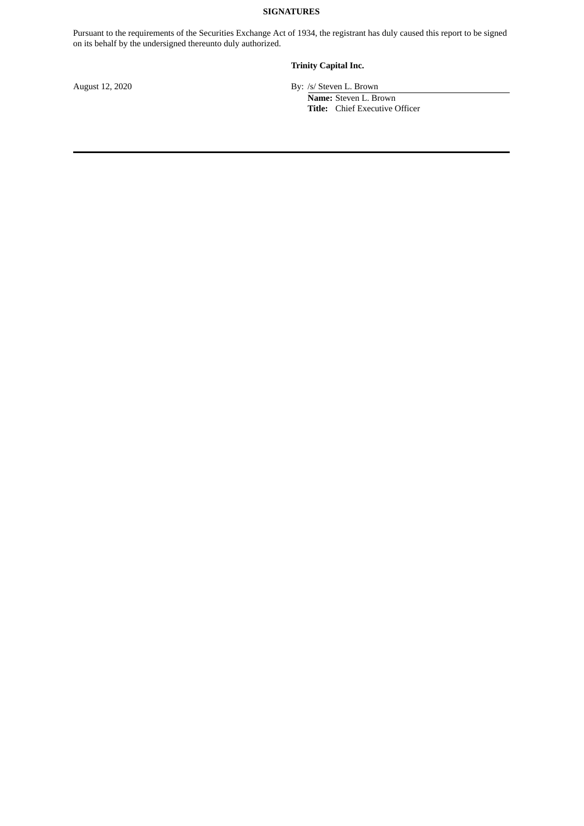### **SIGNATURES**

Pursuant to the requirements of the Securities Exchange Act of 1934, the registrant has duly caused this report to be signed on its behalf by the undersigned thereunto duly authorized.

### **Trinity Capital Inc.**

August 12, 2020 By: /s/ Steven L. Brown **Name:** Steven L. Brown **Title:** Chief Executive Officer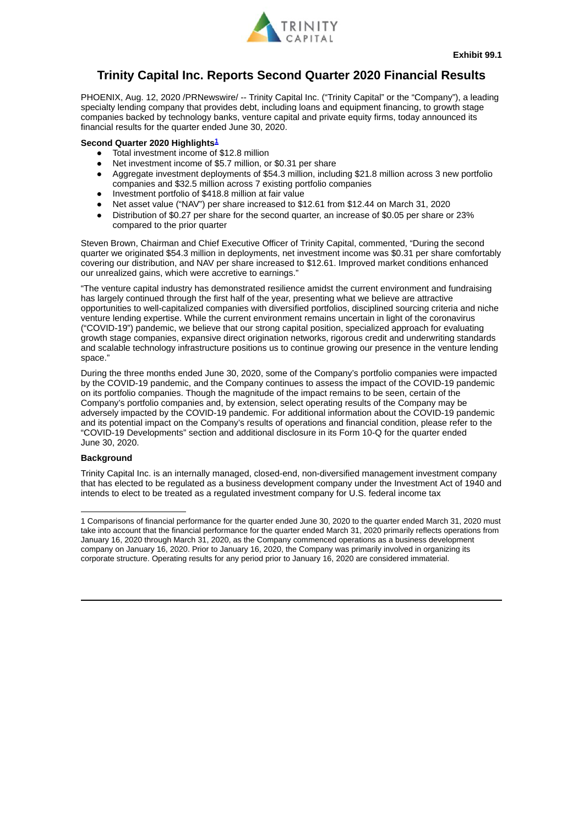

## <span id="page-3-0"></span>**Trinity Capital Inc. Reports Second Quarter 2020 Financial Results**

PHOENIX, Aug. 12, 2020 /PRNewswire/ -- Trinity Capital Inc. ("Trinity Capital" or the "Company"), a leading specialty lending company that provides debt, including loans and equipment financing, to growth stage companies backed by technology banks, venture capital and private equity firms, today announced its financial results for the quarter ended June 30, 2020.

#### **Second Quarter 2020 Highlights [1](#page-3-1)**

- Total investment income of \$12.8 million
- Net investment income of \$5.7 million, or \$0.31 per share
- Aggregate investment deployments of \$54.3 million, including \$21.8 million across 3 new portfolio companies and \$32.5 million across 7 existing portfolio companies
- Investment portfolio of \$418.8 million at fair value
- Net asset value ("NAV") per share increased to \$12.61 from \$12.44 on March 31, 2020
- Distribution of \$0.27 per share for the second quarter, an increase of \$0.05 per share or 23% compared to the prior quarter

Steven Brown, Chairman and Chief Executive Officer of Trinity Capital, commented, "During the second quarter we originated \$54.3 million in deployments, net investment income was \$0.31 per share comfortably covering our distribution, and NAV per share increased to \$12.61. Improved market conditions enhanced our unrealized gains, which were accretive to earnings."

"The venture capital industry has demonstrated resilience amidst the current environment and fundraising has largely continued through the first half of the year, presenting what we believe are attractive opportunities to well-capitalized companies with diversified portfolios, disciplined sourcing criteria and niche venture lending expertise. While the current environment remains uncertain in light of the coronavirus ("COVID-19") pandemic, we believe that our strong capital position, specialized approach for evaluating growth stage companies, expansive direct origination networks, rigorous credit and underwriting standards and scalable technology infrastructure positions us to continue growing our presence in the venture lending space."

During the three months ended June 30, 2020, some of the Company's portfolio companies were impacted by the COVID-19 pandemic, and the Company continues to assess the impact of the COVID-19 pandemic on its portfolio companies. Though the magnitude of the impact remains to be seen, certain of the Company's portfolio companies and, by extension, select operating results of the Company may be adversely impacted by the COVID-19 pandemic. For additional information about the COVID-19 pandemic and its potential impact on the Company's results of operations and financial condition, please refer to the "COVID-19 Developments" section and additional disclosure in its Form 10-Q for the quarter ended June 30, 2020.

#### **Background**

Trinity Capital Inc. is an internally managed, closed-end, non-diversified management investment company that has elected to be regulated as a business development company under the Investment Act of 1940 and intends to elect to be treated as a regulated investment company for U.S. federal income tax

<span id="page-3-1"></span><sup>1</sup> Comparisons of financial performance for the quarter ended June 30, 2020 to the quarter ended March 31, 2020 must take into account that the financial performance for the quarter ended March 31, 2020 primarily reflects operations from January 16, 2020 through March 31, 2020, as the Company commenced operations as a business development company on January 16, 2020. Prior to January 16, 2020, the Company was primarily involved in organizing its corporate structure. Operating results for any period prior to January 16, 2020 are considered immaterial.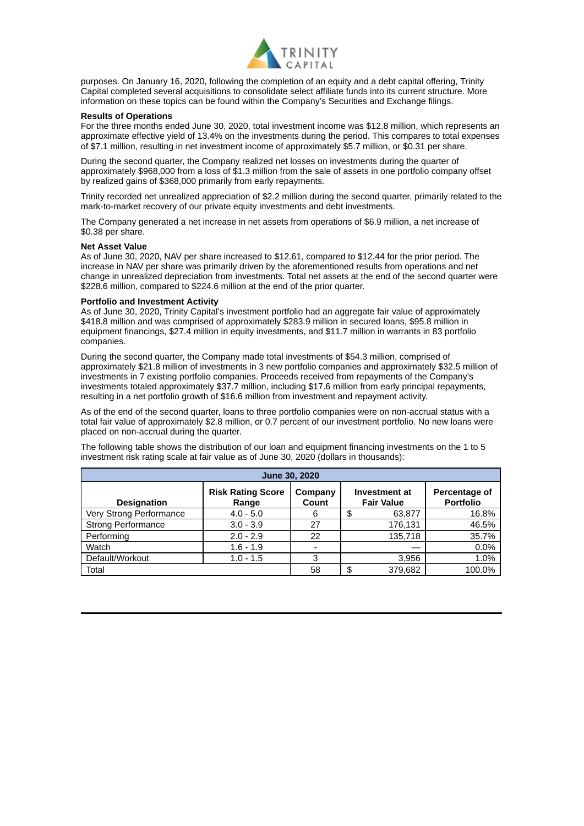

purposes. On January 16, 2020, following the completion of an equity and a debt capital offering, Trinity Capital completed several acquisitions to consolidate select affiliate funds into its current structure. More information on these topics can be found within the Company's Securities and Exchange filings.

#### **Results of Operations**

For the three months ended June 30, 2020, total investment income was \$12.8 million, which represents an approximate effective yield of 13.4% on the investments during the period. This compares to total expenses of \$7.1 million, resulting in net investment income of approximately \$5.7 million, or \$0.31 per share.

During the second quarter, the Company realized net losses on investments during the quarter of approximately \$968,000 from a loss of \$1.3 million from the sale of assets in one portfolio company offset by realized gains of \$368,000 primarily from early repayments.

Trinity recorded net unrealized appreciation of \$2.2 million during the second quarter, primarily related to the mark-to-market recovery of our private equity investments and debt investments.

The Company generated a net increase in net assets from operations of \$6.9 million, a net increase of \$0.38 per share.

#### **Net Asset Value**

As of June 30, 2020, NAV per share increased to \$12.61, compared to \$12.44 for the prior period. The increase in NAV per share was primarily driven by the aforementioned results from operations and net change in unrealized depreciation from investments. Total net assets at the end of the second quarter were \$228.6 million, compared to \$224.6 million at the end of the prior quarter.

#### **Portfolio and Investment Activity**

As of June 30, 2020, Trinity Capital's investment portfolio had an aggregate fair value of approximately \$418.8 million and was comprised of approximately \$283.9 million in secured loans, \$95.8 million in equipment financings, \$27.4 million in equity investments, and \$11.7 million in warrants in 83 portfolio companies.

During the second quarter, the Company made total investments of \$54.3 million, comprised of approximately \$21.8 million of investments in 3 new portfolio companies and approximately \$32.5 million of investments in 7 existing portfolio companies. Proceeds received from repayments of the Company's investments totaled approximately \$37.7 million, including \$17.6 million from early principal repayments, resulting in a net portfolio growth of \$16.6 million from investment and repayment activity.

As of the end of the second quarter, loans to three portfolio companies were on non-accrual status with a total fair value of approximately \$2.8 million, or 0.7 percent of our investment portfolio. No new loans were placed on non-accrual during the quarter.

The following table shows the distribution of our loan and equipment financing investments on the 1 to 5 investment risk rating scale at fair value as of June 30, 2020 (dollars in thousands):

| June 30, 2020             |                                   |                  |    |                                           |                                   |  |  |
|---------------------------|-----------------------------------|------------------|----|-------------------------------------------|-----------------------------------|--|--|
| <b>Designation</b>        | <b>Risk Rating Score</b><br>Range | Company<br>Count |    | <b>Investment at</b><br><b>Fair Value</b> | Percentage of<br><b>Portfolio</b> |  |  |
| Very Strong Performance   | $4.0 - 5.0$                       | 6                | \$ | 63,877                                    | 16.8%                             |  |  |
| <b>Strong Performance</b> | $3.0 - 3.9$                       | 27               |    | 176,131                                   | 46.5%                             |  |  |
| Performing                | $2.0 - 2.9$                       | 22               |    | 135,718                                   | 35.7%                             |  |  |
| Watch                     | $1.6 - 1.9$                       |                  |    |                                           | 0.0%                              |  |  |
| Default/Workout           | $1.0 - 1.5$                       | 3                |    | 3,956                                     | 1.0%                              |  |  |
| Total                     |                                   | 58               | \$ | 379,682                                   | 100.0%                            |  |  |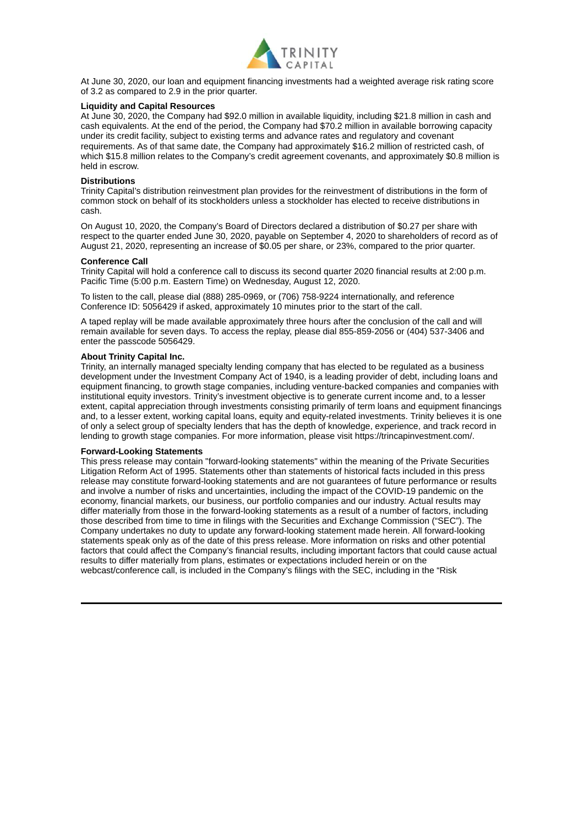

At June 30, 2020, our loan and equipment financing investments had a weighted average risk rating score of 3.2 as compared to 2.9 in the prior quarter.

#### **Liquidity and Capital Resources**

At June 30, 2020, the Company had \$92.0 million in available liquidity, including \$21.8 million in cash and cash equivalents. At the end of the period, the Company had \$70.2 million in available borrowing capacity under its credit facility, subject to existing terms and advance rates and regulatory and covenant requirements. As of that same date, the Company had approximately \$16.2 million of restricted cash, of which \$15.8 million relates to the Company's credit agreement covenants, and approximately \$0.8 million is held in escrow.

#### **Distributions**

Trinity Capital's distribution reinvestment plan provides for the reinvestment of distributions in the form of common stock on behalf of its stockholders unless a stockholder has elected to receive distributions in cash.

On August 10, 2020, the Company's Board of Directors declared a distribution of \$0.27 per share with respect to the quarter ended June 30, 2020, payable on September 4, 2020 to shareholders of record as of August 21, 2020, representing an increase of \$0.05 per share, or 23%, compared to the prior quarter.

#### **Conference Call**

Trinity Capital will hold a conference call to discuss its second quarter 2020 financial results at 2:00 p.m. Pacific Time (5:00 p.m. Eastern Time) on Wednesday, August 12, 2020.

To listen to the call, please dial (888) 285-0969, or (706) 758-9224 internationally, and reference Conference ID: 5056429 if asked, approximately 10 minutes prior to the start of the call.

A taped replay will be made available approximately three hours after the conclusion of the call and will remain available for seven days. To access the replay, please dial 855-859-2056 or (404) 537-3406 and enter the passcode 5056429.

#### **About Trinity Capital Inc.**

Trinity, an internally managed specialty lending company that has elected to be regulated as a business development under the Investment Company Act of 1940, is a leading provider of debt, including loans and equipment financing, to growth stage companies, including venture-backed companies and companies with institutional equity investors. Trinity's investment objective is to generate current income and, to a lesser extent, capital appreciation through investments consisting primarily of term loans and equipment financings and, to a lesser extent, working capital loans, equity and equity-related investments. Trinity believes it is one of only a select group of specialty lenders that has the depth of knowledge, experience, and track record in lending to growth stage companies. For more information, please visit https://trincapinvestment.com/.

#### **Forward-Looking Statements**

This press release may contain "forward-looking statements" within the meaning of the Private Securities Litigation Reform Act of 1995. Statements other than statements of historical facts included in this press release may constitute forward-looking statements and are not guarantees of future performance or results and involve a number of risks and uncertainties, including the impact of the COVID-19 pandemic on the economy, financial markets, our business, our portfolio companies and our industry. Actual results may differ materially from those in the forward-looking statements as a result of a number of factors, including those described from time to time in filings with the Securities and Exchange Commission ("SEC"). The Company undertakes no duty to update any forward-looking statement made herein. All forward-looking statements speak only as of the date of this press release. More information on risks and other potential factors that could affect the Company's financial results, including important factors that could cause actual results to differ materially from plans, estimates or expectations included herein or on the webcast/conference call, is included in the Company's filings with the SEC, including in the "Risk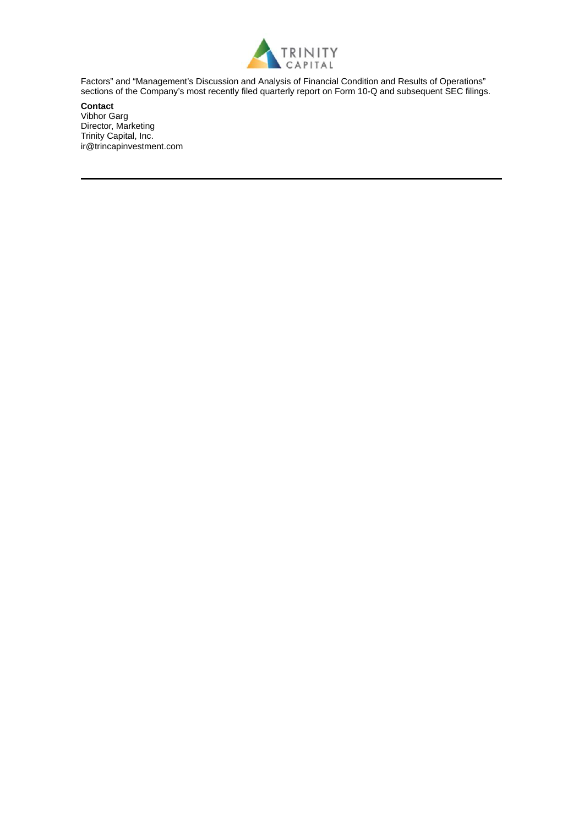

Factors" and "Management's Discussion and Analysis of Financial Condition and Results of Operations" sections of the Company's most recently filed quarterly report on Form 10-Q and subsequent SEC filings.

**Contact** Vibhor Garg Director, Marketing Trinity Capital, Inc. ir@trincapinvestment.com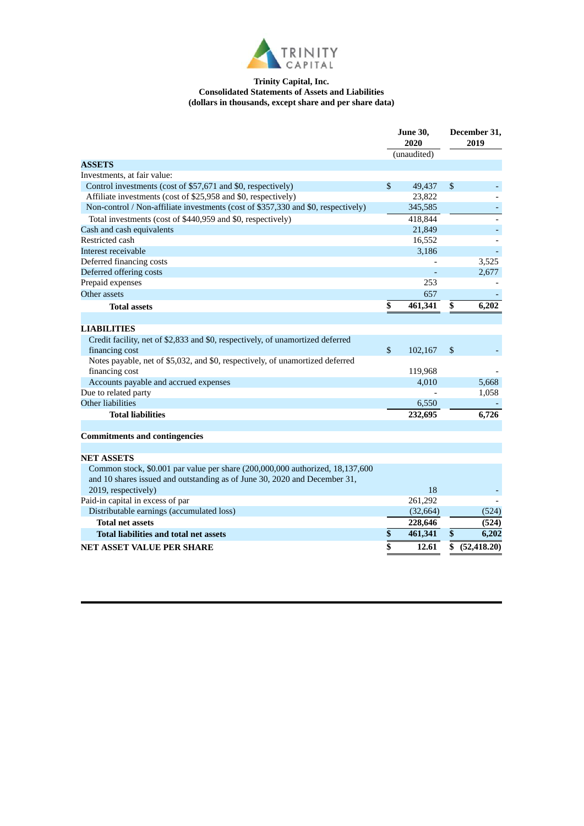

#### **Trinity Capital, Inc. Consolidated Statements of Assets and Liabilities (dollars in thousands, except share and per share data)**

|                                                                                   | <b>June 30,</b><br>2020 |             | December 31,<br>2019 |              |
|-----------------------------------------------------------------------------------|-------------------------|-------------|----------------------|--------------|
|                                                                                   |                         | (unaudited) |                      |              |
| <b>ASSETS</b>                                                                     |                         |             |                      |              |
| Investments, at fair value:                                                       |                         |             |                      |              |
| Control investments (cost of \$57,671 and \$0, respectively)                      | $\mathbb{S}$            | 49,437      | \$                   |              |
| Affiliate investments (cost of \$25,958 and \$0, respectively)                    |                         | 23,822      |                      |              |
| Non-control / Non-affiliate investments (cost of \$357,330 and \$0, respectively) |                         | 345,585     |                      |              |
| Total investments (cost of \$440,959 and \$0, respectively)                       |                         | 418,844     |                      |              |
| Cash and cash equivalents                                                         |                         | 21,849      |                      |              |
| Restricted cash                                                                   |                         | 16,552      |                      |              |
| Interest receivable                                                               |                         | 3,186       |                      |              |
| Deferred financing costs                                                          |                         |             |                      | 3,525        |
| Deferred offering costs                                                           |                         |             |                      | 2,677        |
| Prepaid expenses                                                                  |                         | 253         |                      |              |
| Other assets                                                                      |                         | 657         |                      |              |
| <b>Total assets</b>                                                               | \$                      | 461,341     | \$                   | 6,202        |
|                                                                                   |                         |             |                      |              |
| <b>LIABILITIES</b>                                                                |                         |             |                      |              |
| Credit facility, net of \$2,833 and \$0, respectively, of unamortized deferred    |                         |             |                      |              |
| financing cost                                                                    | $\mathbb{S}$            | 102,167     | $\mathbb{S}$         |              |
| Notes payable, net of \$5,032, and \$0, respectively, of unamortized deferred     |                         |             |                      |              |
| financing cost                                                                    |                         | 119,968     |                      |              |
| Accounts payable and accrued expenses                                             |                         | 4,010       |                      | 5,668        |
| Due to related party                                                              |                         |             |                      | 1,058        |
| Other liabilities                                                                 |                         | 6,550       |                      |              |
| <b>Total liabilities</b>                                                          |                         | 232,695     |                      | 6,726        |
|                                                                                   |                         |             |                      |              |
| <b>Commitments and contingencies</b>                                              |                         |             |                      |              |
|                                                                                   |                         |             |                      |              |
| <b>NET ASSETS</b>                                                                 |                         |             |                      |              |
| Common stock, \$0.001 par value per share (200,000,000 authorized, 18,137,600     |                         |             |                      |              |
| and 10 shares issued and outstanding as of June 30, 2020 and December 31,         |                         |             |                      |              |
| 2019, respectively)                                                               |                         | 18          |                      |              |
| Paid-in capital in excess of par                                                  |                         | 261,292     |                      |              |
| Distributable earnings (accumulated loss)                                         |                         | (32, 664)   |                      | (524)        |
| <b>Total net assets</b>                                                           |                         | 228,646     |                      | (524)        |
| <b>Total liabilities and total net assets</b>                                     | \$                      | 461,341     | \$                   | 6,202        |
| <b>NET ASSET VALUE PER SHARE</b>                                                  | \$                      | 12.61       | \$                   | (52, 418.20) |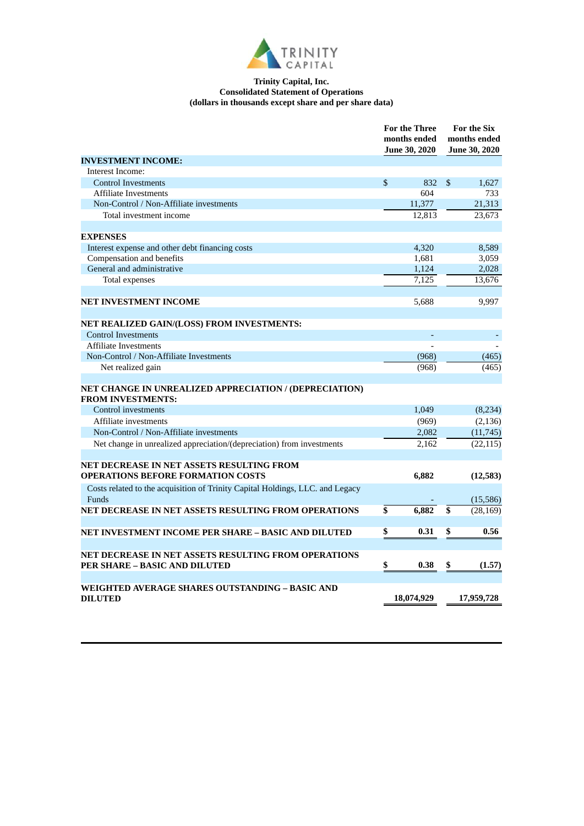

#### **Trinity Capital, Inc. Consolidated Statement of Operations (dollars in thousands except share and per share data)**

|                                                                                        | <b>For the Three</b><br>months ended<br><b>June 30, 2020</b> |            |                 | <b>For the Six</b><br>months ended<br><b>June 30, 2020</b> |  |
|----------------------------------------------------------------------------------------|--------------------------------------------------------------|------------|-----------------|------------------------------------------------------------|--|
| <b>INVESTMENT INCOME:</b>                                                              |                                                              |            |                 |                                                            |  |
| Interest Income:                                                                       |                                                              |            |                 |                                                            |  |
| <b>Control Investments</b>                                                             | $\mathbb{S}$                                                 | 832        | $\mathbb{S}$    | 1,627                                                      |  |
| <b>Affiliate Investments</b>                                                           |                                                              | 604        |                 | 733                                                        |  |
| Non-Control / Non-Affiliate investments                                                |                                                              | 11,377     |                 | 21,313                                                     |  |
| Total investment income                                                                |                                                              | 12,813     |                 | 23,673                                                     |  |
|                                                                                        |                                                              |            |                 |                                                            |  |
| <b>EXPENSES</b>                                                                        |                                                              |            |                 |                                                            |  |
| Interest expense and other debt financing costs                                        |                                                              | 4,320      |                 | 8,589                                                      |  |
| Compensation and benefits                                                              |                                                              | 1,681      |                 | 3,059                                                      |  |
| General and administrative                                                             |                                                              | 1,124      |                 | 2,028                                                      |  |
| Total expenses                                                                         |                                                              | 7,125      |                 | 13,676                                                     |  |
|                                                                                        |                                                              |            |                 |                                                            |  |
| <b>NET INVESTMENT INCOME</b>                                                           |                                                              | 5,688      |                 | 9,997                                                      |  |
|                                                                                        |                                                              |            |                 |                                                            |  |
| NET REALIZED GAIN/(LOSS) FROM INVESTMENTS:                                             |                                                              |            |                 |                                                            |  |
| <b>Control Investments</b>                                                             |                                                              | ÷,         |                 |                                                            |  |
| <b>Affiliate Investments</b>                                                           |                                                              |            |                 |                                                            |  |
| Non-Control / Non-Affiliate Investments                                                |                                                              | (968)      |                 | (465)                                                      |  |
| Net realized gain                                                                      |                                                              | (968)      |                 | (465)                                                      |  |
|                                                                                        |                                                              |            |                 |                                                            |  |
| NET CHANGE IN UNREALIZED APPRECIATION / (DEPRECIATION)<br><b>FROM INVESTMENTS:</b>     |                                                              |            |                 |                                                            |  |
| Control investments                                                                    |                                                              | 1,049      |                 | (8,234)                                                    |  |
| Affiliate investments                                                                  |                                                              | (969)      |                 | (2, 136)                                                   |  |
| Non-Control / Non-Affiliate investments                                                |                                                              | 2,082      |                 | (11, 745)                                                  |  |
| Net change in unrealized appreciation/(depreciation) from investments                  |                                                              | 2,162      |                 | (22, 115)                                                  |  |
|                                                                                        |                                                              |            |                 |                                                            |  |
| NET DECREASE IN NET ASSETS RESULTING FROM                                              |                                                              |            |                 |                                                            |  |
| <b>OPERATIONS BEFORE FORMATION COSTS</b>                                               |                                                              | 6,882      |                 | (12,583)                                                   |  |
| Costs related to the acquisition of Trinity Capital Holdings, LLC. and Legacy<br>Funds |                                                              |            |                 | (15,586)                                                   |  |
| NET DECREASE IN NET ASSETS RESULTING FROM OPERATIONS                                   | \$                                                           | 6,882      | $\overline{\$}$ | (28, 169)                                                  |  |
|                                                                                        |                                                              |            |                 |                                                            |  |
| NET INVESTMENT INCOME PER SHARE - BASIC AND DILUTED                                    | \$                                                           | 0.31       | \$              | 0.56                                                       |  |
|                                                                                        |                                                              |            |                 |                                                            |  |
| NET DECREASE IN NET ASSETS RESULTING FROM OPERATIONS                                   |                                                              |            |                 |                                                            |  |
| <b>PER SHARE - BASIC AND DILUTED</b>                                                   | \$                                                           | 0.38       | \$              | (1.57)                                                     |  |
|                                                                                        |                                                              |            |                 |                                                            |  |
| WEIGHTED AVERAGE SHARES OUTSTANDING – BASIC AND                                        |                                                              |            |                 |                                                            |  |
| <b>DILUTED</b>                                                                         |                                                              | 18,074,929 |                 | 17,959,728                                                 |  |
|                                                                                        |                                                              |            |                 |                                                            |  |